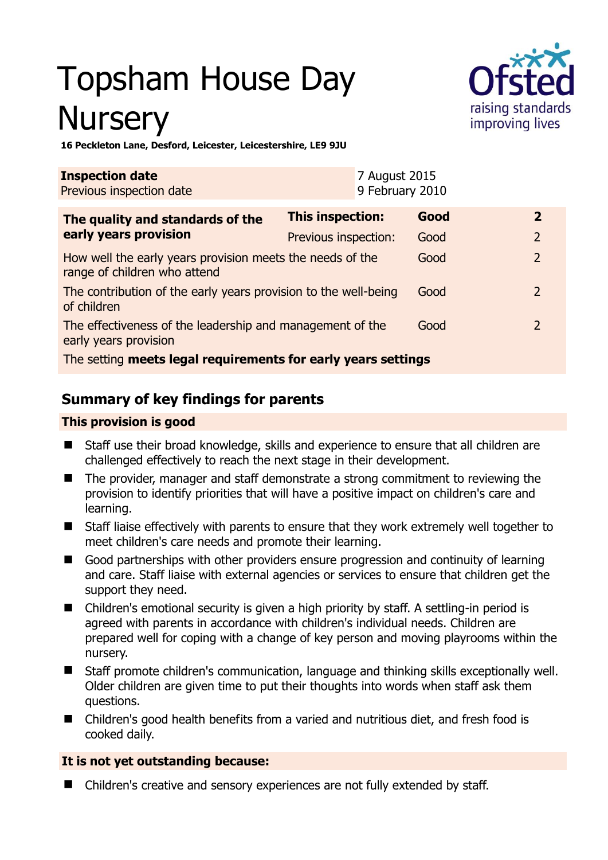# Topsham House Day **Nursery**



**16 Peckleton Lane, Desford, Leicester, Leicestershire, LE9 9JU** 

| <b>Inspection date</b><br>Previous inspection date                                        |                         | 7 August 2015<br>9 February 2010 |      |                |  |
|-------------------------------------------------------------------------------------------|-------------------------|----------------------------------|------|----------------|--|
| The quality and standards of the<br>early years provision                                 | <b>This inspection:</b> |                                  | Good | $\mathbf{2}$   |  |
|                                                                                           | Previous inspection:    |                                  | Good | $\overline{2}$ |  |
| How well the early years provision meets the needs of the<br>range of children who attend |                         |                                  | Good | $\overline{2}$ |  |
| The contribution of the early years provision to the well-being<br>of children            |                         |                                  | Good | 2              |  |
| The effectiveness of the leadership and management of the<br>early years provision        |                         |                                  | Good | 2              |  |
| The setting meets legal requirements for early years settings                             |                         |                                  |      |                |  |

# **Summary of key findings for parents**

## **This provision is good**

- Staff use their broad knowledge, skills and experience to ensure that all children are challenged effectively to reach the next stage in their development.
- The provider, manager and staff demonstrate a strong commitment to reviewing the provision to identify priorities that will have a positive impact on children's care and learning.
- Staff liaise effectively with parents to ensure that they work extremely well together to meet children's care needs and promote their learning.
- Good partnerships with other providers ensure progression and continuity of learning and care. Staff liaise with external agencies or services to ensure that children get the support they need.
- Children's emotional security is given a high priority by staff. A settling-in period is agreed with parents in accordance with children's individual needs. Children are prepared well for coping with a change of key person and moving playrooms within the nursery.
- Staff promote children's communication, language and thinking skills exceptionally well. Older children are given time to put their thoughts into words when staff ask them questions.
- Children's good health benefits from a varied and nutritious diet, and fresh food is cooked daily.

## **It is not yet outstanding because:**

Children's creative and sensory experiences are not fully extended by staff.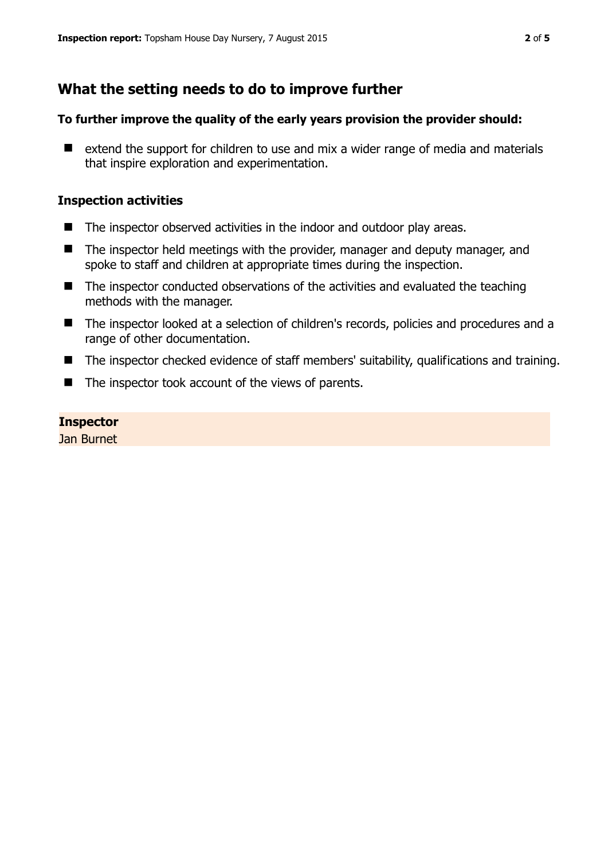# **What the setting needs to do to improve further**

#### **To further improve the quality of the early years provision the provider should:**

■ extend the support for children to use and mix a wider range of media and materials that inspire exploration and experimentation.

#### **Inspection activities**

- The inspector observed activities in the indoor and outdoor play areas.
- The inspector held meetings with the provider, manager and deputy manager, and spoke to staff and children at appropriate times during the inspection.
- The inspector conducted observations of the activities and evaluated the teaching methods with the manager.
- The inspector looked at a selection of children's records, policies and procedures and a range of other documentation.
- The inspector checked evidence of staff members' suitability, qualifications and training.
- $\blacksquare$  The inspector took account of the views of parents.

#### **Inspector**

Jan Burnet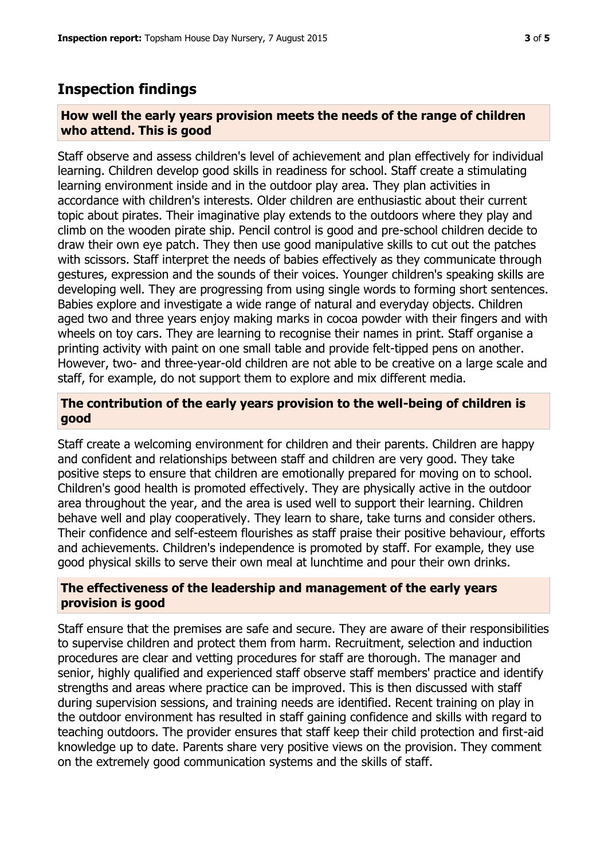## **Inspection findings**

#### **How well the early years provision meets the needs of the range of children who attend. This is good**

Staff observe and assess children's level of achievement and plan effectively for individual learning. Children develop good skills in readiness for school. Staff create a stimulating learning environment inside and in the outdoor play area. They plan activities in accordance with children's interests. Older children are enthusiastic about their current topic about pirates. Their imaginative play extends to the outdoors where they play and climb on the wooden pirate ship. Pencil control is good and pre-school children decide to draw their own eye patch. They then use good manipulative skills to cut out the patches with scissors. Staff interpret the needs of babies effectively as they communicate through gestures, expression and the sounds of their voices. Younger children's speaking skills are developing well. They are progressing from using single words to forming short sentences. Babies explore and investigate a wide range of natural and everyday objects. Children aged two and three years enjoy making marks in cocoa powder with their fingers and with wheels on toy cars. They are learning to recognise their names in print. Staff organise a printing activity with paint on one small table and provide felt-tipped pens on another. However, two- and three-year-old children are not able to be creative on a large scale and staff, for example, do not support them to explore and mix different media.

#### **The contribution of the early years provision to the well-being of children is good**

Staff create a welcoming environment for children and their parents. Children are happy and confident and relationships between staff and children are very good. They take positive steps to ensure that children are emotionally prepared for moving on to school. Children's good health is promoted effectively. They are physically active in the outdoor area throughout the year, and the area is used well to support their learning. Children behave well and play cooperatively. They learn to share, take turns and consider others. Their confidence and self-esteem flourishes as staff praise their positive behaviour, efforts and achievements. Children's independence is promoted by staff. For example, they use good physical skills to serve their own meal at lunchtime and pour their own drinks.

#### **The effectiveness of the leadership and management of the early years provision is good**

Staff ensure that the premises are safe and secure. They are aware of their responsibilities to supervise children and protect them from harm. Recruitment, selection and induction procedures are clear and vetting procedures for staff are thorough. The manager and senior, highly qualified and experienced staff observe staff members' practice and identify strengths and areas where practice can be improved. This is then discussed with staff during supervision sessions, and training needs are identified. Recent training on play in the outdoor environment has resulted in staff gaining confidence and skills with regard to teaching outdoors. The provider ensures that staff keep their child protection and first-aid knowledge up to date. Parents share very positive views on the provision. They comment on the extremely good communication systems and the skills of staff.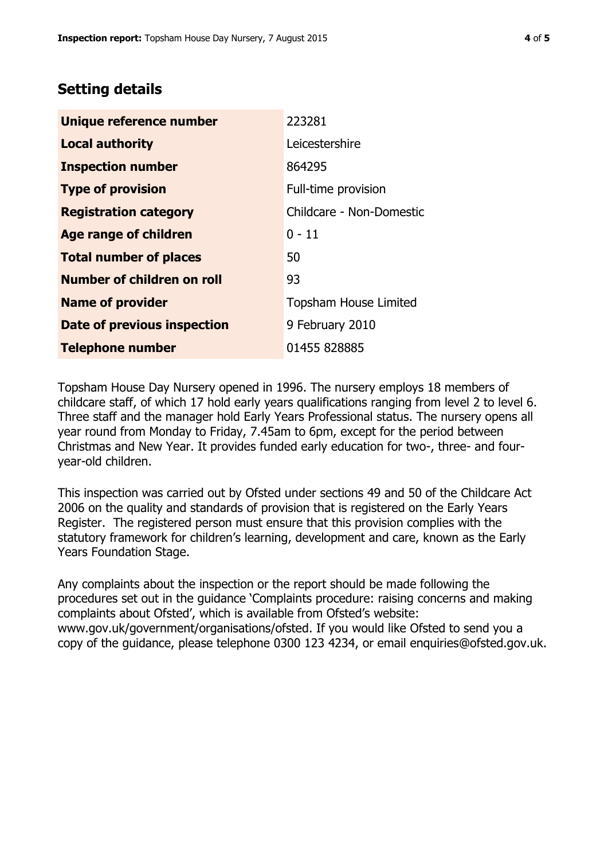## **Setting details**

| Unique reference number           | 223281                       |  |
|-----------------------------------|------------------------------|--|
| <b>Local authority</b>            | Leicestershire               |  |
| <b>Inspection number</b>          | 864295                       |  |
| <b>Type of provision</b>          | Full-time provision          |  |
| <b>Registration category</b>      | Childcare - Non-Domestic     |  |
| Age range of children             | $0 - 11$                     |  |
| <b>Total number of places</b>     | 50                           |  |
| <b>Number of children on roll</b> | 93                           |  |
| <b>Name of provider</b>           | <b>Topsham House Limited</b> |  |
| Date of previous inspection       | 9 February 2010              |  |
| <b>Telephone number</b>           | 01455 828885                 |  |

Topsham House Day Nursery opened in 1996. The nursery employs 18 members of childcare staff, of which 17 hold early years qualifications ranging from level 2 to level 6. Three staff and the manager hold Early Years Professional status. The nursery opens all year round from Monday to Friday, 7.45am to 6pm, except for the period between Christmas and New Year. It provides funded early education for two-, three- and fouryear-old children.

This inspection was carried out by Ofsted under sections 49 and 50 of the Childcare Act 2006 on the quality and standards of provision that is registered on the Early Years Register. The registered person must ensure that this provision complies with the statutory framework for children's learning, development and care, known as the Early Years Foundation Stage.

Any complaints about the inspection or the report should be made following the procedures set out in the guidance 'Complaints procedure: raising concerns and making complaints about Ofsted', which is available from Ofsted's website: www.gov.uk/government/organisations/ofsted. If you would like Ofsted to send you a copy of the guidance, please telephone 0300 123 4234, or email enquiries@ofsted.gov.uk.